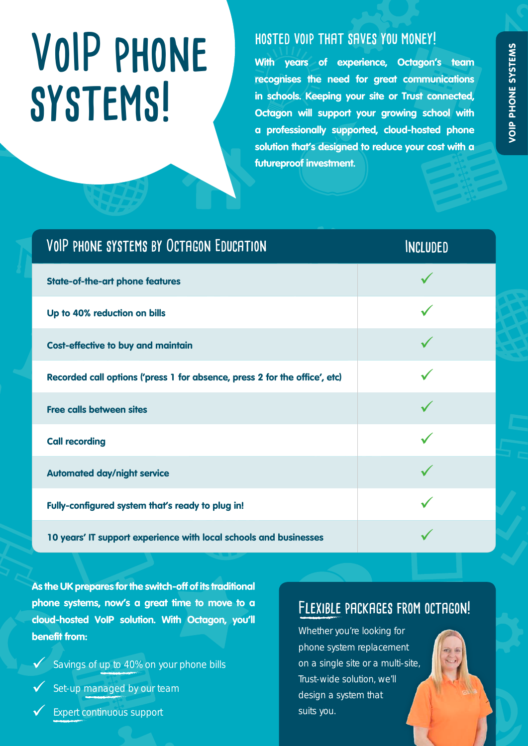# **VoIP phone systems!**

### **hosted voip that saves you money!**

**With years of experience, Octagon's team recognises the need for great communications in schools. Keeping your site or Trust connected, Octagon will support your growing school with a professionally supported, cloud-hosted phone solution that's designed to reduce your cost with a futureproof investment.**

| VOIP PHONE SYSTEMS BY OCTAGON EDUCATION                                    | <b>INCLUDED</b> |
|----------------------------------------------------------------------------|-----------------|
| <b>State-of-the-art phone features</b>                                     |                 |
| Up to 40% reduction on bills                                               |                 |
| <b>Cost-effective to buy and maintain</b>                                  |                 |
| Recorded call options ('press 1 for absence, press 2 for the office', etc) |                 |
| <b>Free calls between sites</b>                                            |                 |
| <b>Call recording</b>                                                      |                 |
| <b>Automated day/night service</b>                                         |                 |
| Fully-configured system that's ready to plug in!                           |                 |
| 10 years' IT support experience with local schools and businesses          |                 |

**As the UK prepares for the switch-off of its traditional phone systems, now's a great time to move to a cloud-hosted VoIP solution. With Octagon, you'll benefit from:**

Savings of up to 40% on your phone bills

Set-up managed by our team

9 Expert continuous support

## **Flexible packages from octagon!**

Whether you're looking for phone system replacement on a single site or a multi-site, Trust-wide solution, we'll design a system that suits you.